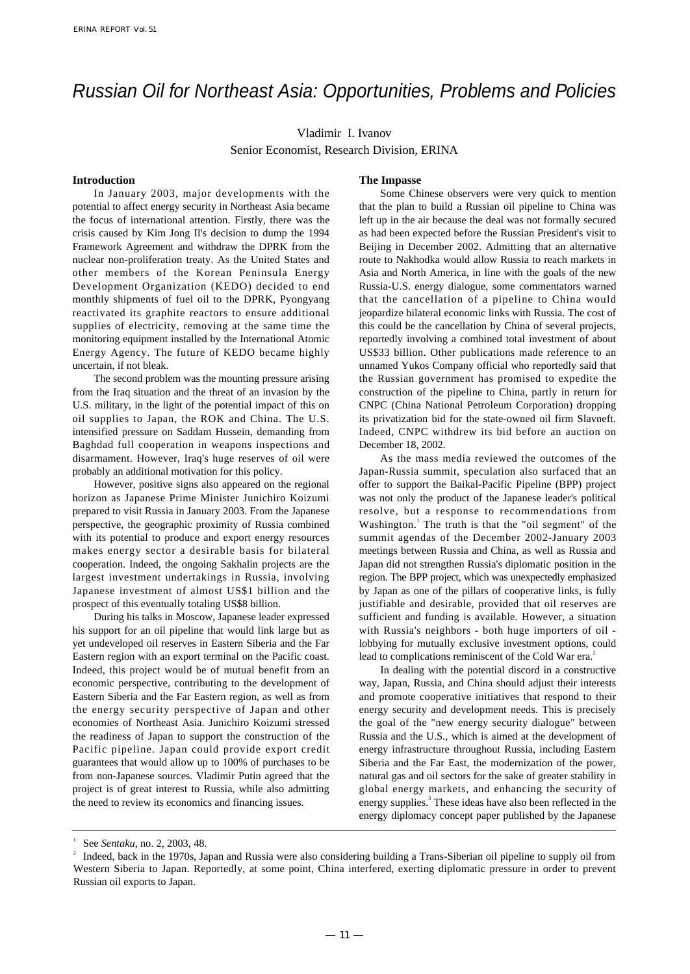# Russian Oil for Northeast Asia: Opportunities, Problems and Policies

### Vladimir I. Ivanov Senior Economist, Research Division, ERINA

#### **Introduction**

In January 2003, major developments with the potential to affect energy security in Northeast Asia became the focus of international attention. Firstly, there was the crisis caused by Kim Jong Il's decision to dump the 1994 Framework Agreement and withdraw the DPRK from the nuclear non-proliferation treaty. As the United States and other members of the Korean Peninsula Energy Development Organization (KEDO) decided to end monthly shipments of fuel oil to the DPRK, Pyongyang reactivated its graphite reactors to ensure additional supplies of electricity, removing at the same time the monitoring equipment installed by the International Atomic Energy Agency. The future of KEDO became highly uncertain, if not bleak.

The second problem was the mounting pressure arising from the Iraq situation and the threat of an invasion by the U.S. military, in the light of the potential impact of this on oil supplies to Japan, the ROK and China. The U.S. intensified pressure on Saddam Hussein, demanding from Baghdad full cooperation in weapons inspections and disarmament. However, Iraq's huge reserves of oil were probably an additional motivation for this policy.

However, positive signs also appeared on the regional horizon as Japanese Prime Minister Junichiro Koizumi prepared to visit Russia in January 2003. From the Japanese perspective, the geographic proximity of Russia combined with its potential to produce and export energy resources makes energy sector a desirable basis for bilateral cooperation. Indeed, the ongoing Sakhalin projects are the largest investment undertakings in Russia, involving Japanese investment of almost US\$1 billion and the prospect of this eventually totaling US\$8 billion.

During his talks in Moscow, Japanese leader expressed his support for an oil pipeline that would link large but as yet undeveloped oil reserves in Eastern Siberia and the Far Eastern region with an export terminal on the Pacific coast. Indeed, this project would be of mutual benefit from an economic perspective, contributing to the development of Eastern Siberia and the Far Eastern region, as well as from the energy security perspective of Japan and other economies of Northeast Asia. Junichiro Koizumi stressed the readiness of Japan to support the construction of the Pacific pipeline. Japan could provide export credit guarantees that would allow up to 100% of purchases to be from non-Japanese sources. Vladimir Putin agreed that the project is of great interest to Russia, while also admitting the need to review its economics and financing issues.

#### **The Impasse**

Some Chinese observers were very quick to mention that the plan to build a Russian oil pipeline to China was left up in the air because the deal was not formally secured as had been expected before the Russian President's visit to Beijing in December 2002. Admitting that an alternative route to Nakhodka would allow Russia to reach markets in Asia and North America, in line with the goals of the new Russia-U.S. energy dialogue, some commentators warned that the cancellation of a pipeline to China would jeopardize bilateral economic links with Russia. The cost of this could be the cancellation by China of several projects, reportedly involving a combined total investment of about US\$33 billion. Other publications made reference to an unnamed Yukos Company official who reportedly said that the Russian government has promised to expedite the construction of the pipeline to China, partly in return for CNPC (China National Petroleum Corporation) dropping its privatization bid for the state-owned oil firm Slavneft. Indeed, CNPC withdrew its bid before an auction on December 18, 2002.

As the mass media reviewed the outcomes of the Japan-Russia summit, speculation also surfaced that an offer to support the Baikal-Pacific Pipeline (BPP) project was not only the product of the Japanese leader's political resolve, but a response to recommendations from Washington.<sup>1</sup> The truth is that the "oil segment" of the summit agendas of the December 2002-January 2003 meetings between Russia and China, as well as Russia and Japan did not strengthen Russia's diplomatic position in the region. The BPP project, which was unexpectedly emphasized by Japan as one of the pillars of cooperative links, is fully justifiable and desirable, provided that oil reserves are sufficient and funding is available. However, a situation with Russia's neighbors - both huge importers of oil lobbying for mutually exclusive investment options, could lead to complications reminiscent of the Cold War era.<sup>2</sup>

In dealing with the potential discord in a constructive way, Japan, Russia, and China should adjust their interests and promote cooperative initiatives that respond to their energy security and development needs. This is precisely the goal of the "new energy security dialogue" between Russia and the U.S., which is aimed at the development of energy infrastructure throughout Russia, including Eastern Siberia and the Far East, the modernization of the power, natural gas and oil sectors for the sake of greater stability in global energy markets, and enhancing the security of energy supplies.<sup>3</sup> These ideas have also been reflected in the energy diplomacy concept paper published by the Japanese

See *Sentaku*, no. 2, 2003, 48.

<sup>&</sup>lt;sup>2</sup> Indeed, back in the 1970s, Japan and Russia were also considering building a Trans-Siberian oil pipeline to supply oil from Western Siberia to Japan. Reportedly, at some point, China interfered, exerting diplomatic pressure in order to prevent Russian oil exports to Japan.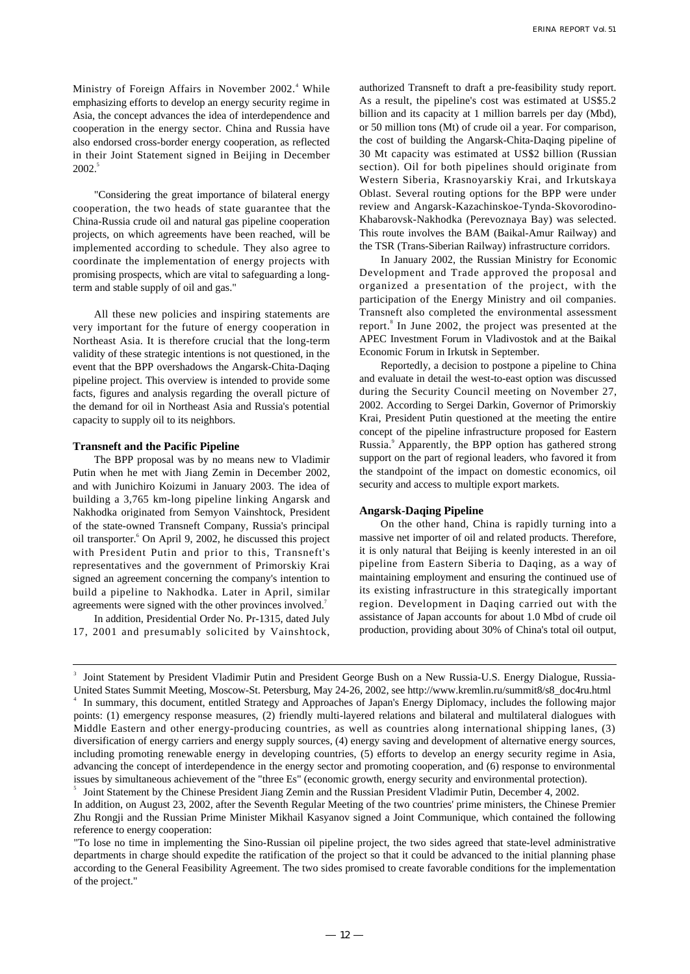Ministry of Foreign Affairs in November 2002.<sup>4</sup> While emphasizing efforts to develop an energy security regime in Asia, the concept advances the idea of interdependence and cooperation in the energy sector. China and Russia have also endorsed cross-border energy cooperation, as reflected in their Joint Statement signed in Beijing in December 2002.<sup>5</sup>

"Considering the great importance of bilateral energy cooperation, the two heads of state guarantee that the China-Russia crude oil and natural gas pipeline cooperation projects, on which agreements have been reached, will be implemented according to schedule. They also agree to coordinate the implementation of energy projects with promising prospects, which are vital to safeguarding a longterm and stable supply of oil and gas."

All these new policies and inspiring statements are very important for the future of energy cooperation in Northeast Asia. It is therefore crucial that the long-term validity of these strategic intentions is not questioned, in the event that the BPP overshadows the Angarsk-Chita-Daqing pipeline project. This overview is intended to provide some facts, figures and analysis regarding the overall picture of the demand for oil in Northeast Asia and Russia's potential capacity to supply oil to its neighbors.

#### **Transneft and the Pacific Pipeline**

The BPP proposal was by no means new to Vladimir Putin when he met with Jiang Zemin in December 2002, and with Junichiro Koizumi in January 2003. The idea of building a 3,765 km-long pipeline linking Angarsk and Nakhodka originated from Semyon Vainshtock, President of the state-owned Transneft Company, Russia's principal oil transporter.<sup>6</sup> On April 9, 2002, he discussed this project with President Putin and prior to this, Transneft's representatives and the government of Primorskiy Krai signed an agreement concerning the company's intention to build a pipeline to Nakhodka. Later in April, similar agreements were signed with the other provinces involved.<sup>7</sup>

In addition, Presidential Order No. Pr-1315, dated July 17, 2001 and presumably solicited by Vainshtock, authorized Transneft to draft a pre-feasibility study report. As a result, the pipeline's cost was estimated at US\$5.2 billion and its capacity at 1 million barrels per day (Mbd), or 50 million tons (Mt) of crude oil a year. For comparison, the cost of building the Angarsk-Chita-Daqing pipeline of 30 Mt capacity was estimated at US\$2 billion (Russian section). Oil for both pipelines should originate from Western Siberia, Krasnoyarskiy Krai, and Irkutskaya Oblast. Several routing options for the BPP were under review and Angarsk-Kazachinskoe-Tynda-Skovorodino-Khabarovsk-Nakhodka (Perevoznaya Bay) was selected. This route involves the BAM (Baikal-Amur Railway) and the TSR (Trans-Siberian Railway) infrastructure corridors.

In January 2002, the Russian Ministry for Economic Development and Trade approved the proposal and organized a presentation of the project, with the participation of the Energy Ministry and oil companies. Transneft also completed the environmental assessment report.<sup>8</sup> In June 2002, the project was presented at the APEC Investment Forum in Vladivostok and at the Baikal Economic Forum in Irkutsk in September.

Reportedly, a decision to postpone a pipeline to China and evaluate in detail the west-to-east option was discussed during the Security Council meeting on November 27, 2002. According to Sergei Darkin, Governor of Primorskiy Krai, President Putin questioned at the meeting the entire concept of the pipeline infrastructure proposed for Eastern Russia.<sup>9</sup> Apparently, the BPP option has gathered strong support on the part of regional leaders, who favored it from the standpoint of the impact on domestic economics, oil security and access to multiple export markets.

#### **Angarsk-Daqing Pipeline**

On the other hand, China is rapidly turning into a massive net importer of oil and related products. Therefore, it is only natural that Beijing is keenly interested in an oil pipeline from Eastern Siberia to Daqing, as a way of maintaining employment and ensuring the continued use of its existing infrastructure in this strategically important region. Development in Daqing carried out with the assistance of Japan accounts for about 1.0 Mbd of crude oil production, providing about 30% of China's total oil output,

<sup>3</sup> Joint Statement by President Vladimir Putin and President George Bush on a New Russia-U.S. Energy Dialogue, Russia-United States Summit Meeting, Moscow-St. Petersburg, May 24-26, 2002, see http://www.kremlin.ru/summit8/s8\_doc4ru.html 4 In summary, this document, entitled Strategy and Approaches of Japan's Energy Diplomacy, includes the following major points: (1) emergency response measures, (2) friendly multi-layered relations and bilateral and multilateral dialogues with Middle Eastern and other energy-producing countries, as well as countries along international shipping lanes, (3) diversification of energy carriers and energy supply sources, (4) energy saving and development of alternative energy sources, including promoting renewable energy in developing countries, (5) efforts to develop an energy security regime in Asia, advancing the concept of interdependence in the energy sector and promoting cooperation, and (6) response to environmental issues by simultaneous achievement of the "three Es" (economic growth, energy security and environmental protection). 5 Joint Statement by the Chinese President Jiang Zemin and the Russian President Vladimir Putin, December 4, 2002.

In addition, on August 23, 2002, after the Seventh Regular Meeting of the two countries' prime ministers, the Chinese Premier Zhu Rongji and the Russian Prime Minister Mikhail Kasyanov signed a Joint Communique, which contained the following reference to energy cooperation:

<sup>&</sup>quot;To lose no time in implementing the Sino-Russian oil pipeline project, the two sides agreed that state-level administrative departments in charge should expedite the ratification of the project so that it could be advanced to the initial planning phase according to the General Feasibility Agreement. The two sides promised to create favorable conditions for the implementation of the project."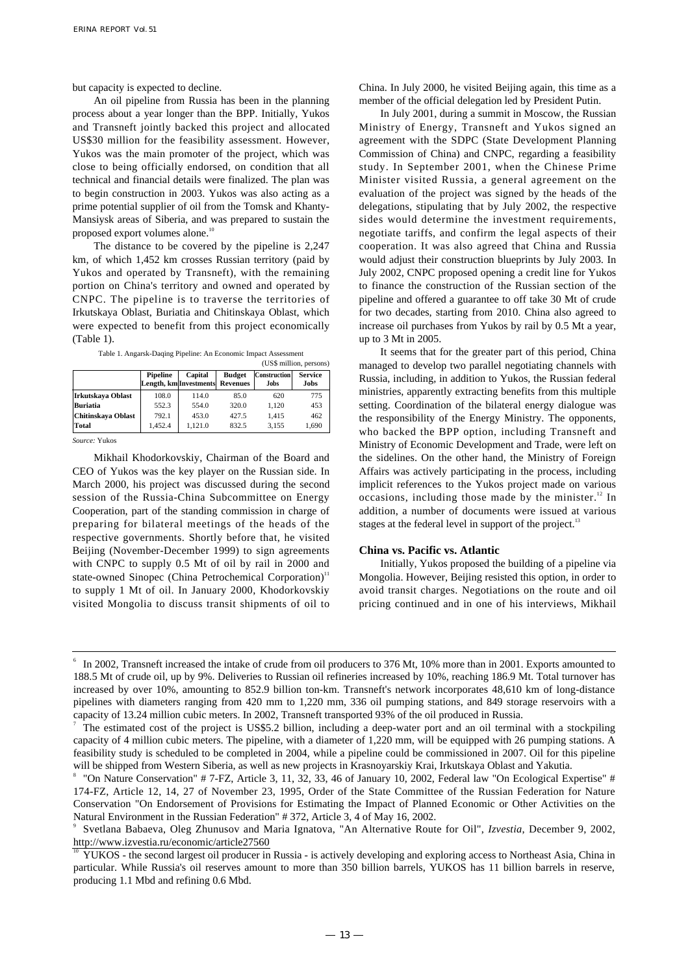but capacity is expected to decline.

An oil pipeline from Russia has been in the planning process about a year longer than the BPP. Initially, Yukos and Transneft jointly backed this project and allocated US\$30 million for the feasibility assessment. However, Yukos was the main promoter of the project, which was close to being officially endorsed, on condition that all technical and financial details were finalized. The plan was to begin construction in 2003. Yukos was also acting as a prime potential supplier of oil from the Tomsk and Khanty-Mansiysk areas of Siberia, and was prepared to sustain the proposed export volumes alone.<sup>10</sup>

The distance to be covered by the pipeline is 2,247 km, of which 1,452 km crosses Russian territory (paid by Yukos and operated by Transneft), with the remaining portion on China's territory and owned and operated by CNPC. The pipeline is to traverse the territories of Irkutskaya Oblast, Buriatia and Chitinskaya Oblast, which were expected to benefit from this project economically (Table 1).

| Table 1. Angarsk-Daqing Pipeline: An Economic Impact Assessment |  |  |
|-----------------------------------------------------------------|--|--|

|                    |          |                                   |                                  |                             | (US\$ million, persons) |
|--------------------|----------|-----------------------------------|----------------------------------|-----------------------------|-------------------------|
|                    | Pipeline | Capital<br>Length, km Investments | <b>Budget</b><br><b>Revenues</b> | <b>Construction</b><br>Jobs | <b>Service</b><br>Jobs  |
| Irkutskaya Oblast  | 108.0    | 114.0                             | 85.0                             | 620                         | 775                     |
| <b>Buriatia</b>    | 552.3    | 554.0                             | 320.0                            | 1.120                       | 453                     |
| Chitinskaya Oblast | 792.1    | 453.0                             | 427.5                            | 1.415                       | 462                     |
| Total              | 1.452.4  | 1.121.0                           | 832.5                            | 3.155                       | 1,690                   |

*Source:* Yukos

Mikhail Khodorkovskiy, Chairman of the Board and CEO of Yukos was the key player on the Russian side. In March 2000, his project was discussed during the second session of the Russia-China Subcommittee on Energy Cooperation, part of the standing commission in charge of preparing for bilateral meetings of the heads of the respective governments. Shortly before that, he visited Beijing (November-December 1999) to sign agreements with CNPC to supply 0.5 Mt of oil by rail in 2000 and state-owned Sinopec (China Petrochemical Corporation)<sup>11</sup> to supply 1 Mt of oil. In January 2000, Khodorkovskiy visited Mongolia to discuss transit shipments of oil to China. In July 2000, he visited Beijing again, this time as a member of the official delegation led by President Putin.

In July 2001, during a summit in Moscow, the Russian Ministry of Energy, Transneft and Yukos signed an agreement with the SDPC (State Development Planning Commission of China) and CNPC, regarding a feasibility study. In September 2001, when the Chinese Prime Minister visited Russia, a general agreement on the evaluation of the project was signed by the heads of the delegations, stipulating that by July 2002, the respective sides would determine the investment requirements, negotiate tariffs, and confirm the legal aspects of their cooperation. It was also agreed that China and Russia would adjust their construction blueprints by July 2003. In July 2002, CNPC proposed opening a credit line for Yukos to finance the construction of the Russian section of the pipeline and offered a guarantee to off take 30 Mt of crude for two decades, starting from 2010. China also agreed to increase oil purchases from Yukos by rail by 0.5 Mt a year, up to 3 Mt in 2005.

It seems that for the greater part of this period, China managed to develop two parallel negotiating channels with Russia, including, in addition to Yukos, the Russian federal ministries, apparently extracting benefits from this multiple setting. Coordination of the bilateral energy dialogue was the responsibility of the Energy Ministry. The opponents, who backed the BPP option, including Transneft and Ministry of Economic Development and Trade, were left on the sidelines. On the other hand, the Ministry of Foreign Affairs was actively participating in the process, including implicit references to the Yukos project made on various occasions, including those made by the minister. $12 \text{ In}$ addition, a number of documents were issued at various stages at the federal level in support of the project.<sup>13</sup>

#### **China vs. Pacific vs. Atlantic**

Initially, Yukos proposed the building of a pipeline via Mongolia. However, Beijing resisted this option, in order to avoid transit charges. Negotiations on the route and oil pricing continued and in one of his interviews, Mikhail

In 2002, Transneft increased the intake of crude from oil producers to 376 Mt, 10% more than in 2001. Exports amounted to 188.5 Mt of crude oil, up by 9%. Deliveries to Russian oil refineries increased by 10%, reaching 186.9 Mt. Total turnover has increased by over 10%, amounting to 852.9 billion ton-km. Transneft's network incorporates 48,610 km of long-distance pipelines with diameters ranging from 420 mm to 1,220 mm, 336 oil pumping stations, and 849 storage reservoirs with a capacity of 13.24 million cubic meters. In 2002, Transneft transported 93% of the oil produced in Russia.

<sup>7</sup> The estimated cost of the project is US\$5.2 billion, including a deep-water port and an oil terminal with a stockpiling capacity of 4 million cubic meters. The pipeline, with a diameter of 1,220 mm, will be equipped with 26 pumping stations. A feasibility study is scheduled to be completed in 2004, while a pipeline could be commissioned in 2007. Oil for this pipeline will be shipped from Western Siberia, as well as new projects in Krasnoyarskiy Krai, Irkutskaya Oblast and Yakutia.

<sup>8</sup> "On Nature Conservation" # 7-FZ, Article 3, 11, 32, 33, 46 of January 10, 2002, Federal law "On Ecological Expertise" # 174-FZ, Article 12, 14, 27 of November 23, 1995, Order of the State Committee of the Russian Federation for Nature Conservation "On Endorsement of Provisions for Estimating the Impact of Planned Economic or Other Activities on the Natural Environment in the Russian Federation" # 372, Article 3, 4 of May 16, 2002.

<sup>9</sup> Svetlana Babaeva, Oleg Zhunusov and Maria Ignatova, "An Alternative Route for Oil", *Izvestia*, December 9, 2002, http://www.izvestia.ru/economic/article27560

<sup>10</sup> YUKOS - the second largest oil producer in Russia - is actively developing and exploring access to Northeast Asia, China in particular. While Russia's oil reserves amount to more than 350 billion barrels, YUKOS has 11 billion barrels in reserve, producing 1.1 Mbd and refining 0.6 Mbd.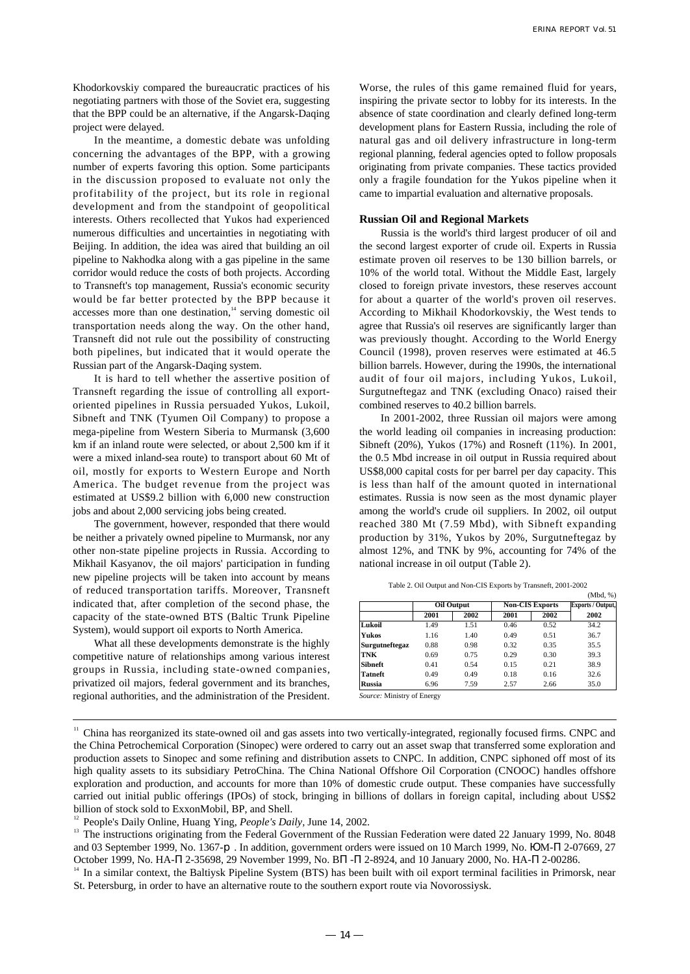Khodorkovskiy compared the bureaucratic practices of his negotiating partners with those of the Soviet era, suggesting that the BPP could be an alternative, if the Angarsk-Daqing project were delayed.

In the meantime, a domestic debate was unfolding concerning the advantages of the BPP, with a growing number of experts favoring this option. Some participants in the discussion proposed to evaluate not only the profitability of the project, but its role in regional development and from the standpoint of geopolitical interests. Others recollected that Yukos had experienced numerous difficulties and uncertainties in negotiating with Beijing. In addition, the idea was aired that building an oil pipeline to Nakhodka along with a gas pipeline in the same corridor would reduce the costs of both projects. According to Transneft's top management, Russia's economic security would be far better protected by the BPP because it accesses more than one destination, $14$  serving domestic oil transportation needs along the way. On the other hand, Transneft did not rule out the possibility of constructing both pipelines, but indicated that it would operate the Russian part of the Angarsk-Daqing system.

It is hard to tell whether the assertive position of Transneft regarding the issue of controlling all exportoriented pipelines in Russia persuaded Yukos, Lukoil, Sibneft and TNK (Tyumen Oil Company) to propose a mega-pipeline from Western Siberia to Murmansk (3,600 km if an inland route were selected, or about 2,500 km if it were a mixed inland-sea route) to transport about 60 Mt of oil, mostly for exports to Western Europe and North America. The budget revenue from the project was estimated at US\$9.2 billion with 6,000 new construction jobs and about 2,000 servicing jobs being created.

The government, however, responded that there would be neither a privately owned pipeline to Murmansk, nor any other non-state pipeline projects in Russia. According to Mikhail Kasyanov, the oil majors' participation in funding new pipeline projects will be taken into account by means of reduced transportation tariffs. Moreover, Transneft indicated that, after completion of the second phase, the capacity of the state-owned BTS (Baltic Trunk Pipeline System), would support oil exports to North America.

What all these developments demonstrate is the highly competitive nature of relationships among various interest groups in Russia, including state-owned companies, privatized oil majors, federal government and its branches, regional authorities, and the administration of the President. Worse, the rules of this game remained fluid for years, inspiring the private sector to lobby for its interests. In the absence of state coordination and clearly defined long-term development plans for Eastern Russia, including the role of natural gas and oil delivery infrastructure in long-term regional planning, federal agencies opted to follow proposals originating from private companies. These tactics provided only a fragile foundation for the Yukos pipeline when it came to impartial evaluation and alternative proposals.

#### **Russian Oil and Regional Markets**

Russia is the world's third largest producer of oil and the second largest exporter of crude oil. Experts in Russia estimate proven oil reserves to be 130 billion barrels, or 10% of the world total. Without the Middle East, largely closed to foreign private investors, these reserves account for about a quarter of the world's proven oil reserves. According to Mikhail Khodorkovskiy, the West tends to agree that Russia's oil reserves are significantly larger than was previously thought. According to the World Energy Council (1998), proven reserves were estimated at 46.5 billion barrels. However, during the 1990s, the international audit of four oil majors, including Yukos, Lukoil, Surgutneftegaz and TNK (excluding Onaco) raised their combined reserves to 40.2 billion barrels.

In 2001-2002, three Russian oil majors were among the world leading oil companies in increasing production: Sibneft (20%), Yukos (17%) and Rosneft (11%). In 2001, the 0.5 Mbd increase in oil output in Russia required about US\$8,000 capital costs for per barrel per day capacity. This is less than half of the amount quoted in international estimates. Russia is now seen as the most dynamic player among the world's crude oil suppliers. In 2002, oil output reached 380 Mt (7.59 Mbd), with Sibneft expanding production by 31%, Yukos by 20%, Surgutneftegaz by almost 12%, and TNK by 9%, accounting for 74% of the national increase in oil output (Table 2).

|                |      |            |      |                        | (Mbd, %) |  |
|----------------|------|------------|------|------------------------|----------|--|
|                |      | Oil Output |      | <b>Non-CIS Exports</b> |          |  |
|                | 2001 | 2002       | 2001 | 2002                   | 2002     |  |
| Lukoil         | 1.49 | 1.51       | 0.46 | 0.52                   | 34.2     |  |
| Yukos          | 1.16 | 1.40       | 0.49 | 0.51                   | 36.7     |  |
| Surgutneftegaz | 0.88 | 0.98       | 0.32 | 0.35                   | 35.5     |  |
| <b>TNK</b>     | 0.69 | 0.75       | 0.29 | 0.30                   | 39.3     |  |
| <b>Sibneft</b> | 0.41 | 0.54       | 0.15 | 0.21                   | 38.9     |  |
| <b>Tatneft</b> | 0.49 | 0.49       | 0.18 | 0.16                   | 32.6     |  |
| <b>Russia</b>  | 6.96 | 7.59       | 2.57 | 2.66                   | 35.0     |  |

Table 2. Oil Output and Non-CIS Exports by Transneft, 2001-2002

*Source:* Ministry of Energy

<sup>12</sup> People's Daily Online, Huang Ying, *People's Daily*, June 14, 2002.

<sup>&</sup>lt;sup>11</sup> China has reorganized its state-owned oil and gas assets into two vertically-integrated, regionally focused firms. CNPC and the China Petrochemical Corporation (Sinopec) were ordered to carry out an asset swap that transferred some exploration and production assets to Sinopec and some refining and distribution assets to CNPC. In addition, CNPC siphoned off most of its high quality assets to its subsidiary PetroChina. The China National Offshore Oil Corporation (CNOOC) handles offshore exploration and production, and accounts for more than 10% of domestic crude output. These companies have successfully carried out initial public offerings (IPOs) of stock, bringing in billions of dollars in foreign capital, including about US\$2 billion of stock sold to ExxonMobil, BP, and Shell.

<sup>&</sup>lt;sup>13</sup> The instructions originating from the Federal Government of the Russian Federation were dated 22 January 1999, No. 8048 and 03 September 1999, No. 1367- . In addition, government orders were issued on 10 March 1999, No. M- 2-07669, 27 October 1999, No. HA- 2-35698, 29 November 1999, No. B - 2-8924, and 10 January 2000, No. HA- 2-00286.

<sup>&</sup>lt;sup>14</sup> In a similar context, the Baltiysk Pipeline System (BTS) has been built with oil export terminal facilities in Primorsk, near St. Petersburg, in order to have an alternative route to the southern export route via Novorossiysk.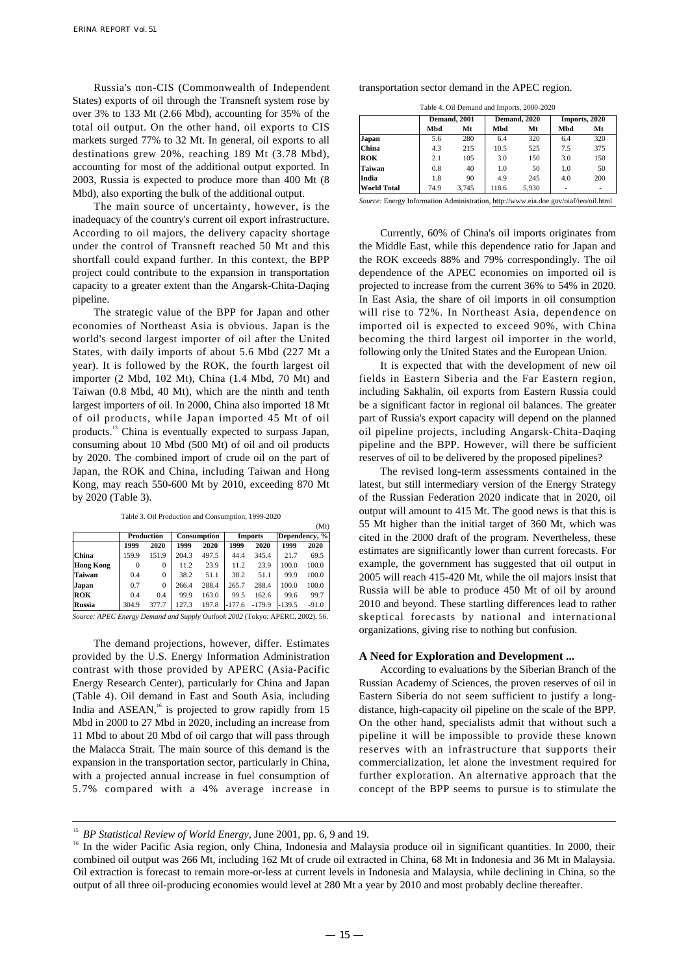Russia's non-CIS (Commonwealth of Independent States) exports of oil through the Transneft system rose by over 3% to 133 Mt (2.66 Mbd), accounting for 35% of the total oil output. On the other hand, oil exports to CIS markets surged 77% to 32 Mt. In general, oil exports to all destinations grew 20%, reaching 189 Mt (3.78 Mbd), accounting for most of the additional output exported. In 2003, Russia is expected to produce more than 400 Mt (8 Mbd), also exporting the bulk of the additional output.

The main source of uncertainty, however, is the inadequacy of the country's current oil export infrastructure. According to oil majors, the delivery capacity shortage under the control of Transneft reached 50 Mt and this shortfall could expand further. In this context, the BPP project could contribute to the expansion in transportation capacity to a greater extent than the Angarsk-Chita-Daqing pipeline.

The strategic value of the BPP for Japan and other economies of Northeast Asia is obvious. Japan is the world's second largest importer of oil after the United States, with daily imports of about 5.6 Mbd (227 Mt a year). It is followed by the ROK, the fourth largest oil importer (2 Mbd, 102 Mt), China (1.4 Mbd, 70 Mt) and Taiwan (0.8 Mbd, 40 Mt), which are the ninth and tenth largest importers of oil. In 2000, China also imported 18 Mt of oil products, while Japan imported 45 Mt of oil products.<sup>15</sup> China is eventually expected to surpass Japan, consuming about 10 Mbd (500 Mt) of oil and oil products by 2020. The combined import of crude oil on the part of Japan, the ROK and China, including Taiwan and Hong Kong, may reach 550-600 Mt by 2010, exceeding 870 Mt by 2020 (Table 3).

Table 3. Oil Production and Consumption, 1999-2020

|                  |       |            |       |                    |          |          |          | (Mt)          |
|------------------|-------|------------|-------|--------------------|----------|----------|----------|---------------|
|                  |       | Production |       | <b>Consumption</b> |          | Imports  |          | Dependency, % |
|                  | 1999  | 2020       | 1999  | 2020               | 1999     | 2020     | 1999     | 2020          |
| China            | 159.9 | 151.9      | 204.3 | 497.5              | 44.4     | 345.4    | 21.7     | 69.5          |
| <b>Hong Kong</b> | 0     | 0          | 11.2  | 23.9               | 11.2     | 23.9     | 100.0    | 100.0         |
| <b>Taiwan</b>    | 0.4   | $\theta$   | 38.2  | 51.1               | 38.2     | 51.1     | 99.9     | 100.0         |
| Japan            | 0.7   | $\Omega$   | 266.4 | 288.4              | 265.7    | 288.4    | 100.0    | 100.0         |
| <b>ROK</b>       | 0.4   | 0.4        | 99.9  | 163.0              | 99.5     | 162.6    | 99.6     | 99.7          |
| <b>Russia</b>    | 304.9 | 377.7      | 127.3 | 197.8              | $-177.6$ | $-179.9$ | $-139.5$ | $-91.0$       |
|                  |       |            | - -   |                    | .        |          |          |               |

*Source: APEC Energy Demand and Supply Outlook 2002* (Tokyo: APERC, 2002), 56.

The demand projections, however, differ. Estimates provided by the U.S. Energy Information Administration contrast with those provided by APERC (Asia-Pacific Energy Research Center), particularly for China and Japan (Table 4). Oil demand in East and South Asia, including India and  $ASEAN$ ,<sup>16</sup> is projected to grow rapidly from 15 Mbd in 2000 to 27 Mbd in 2020, including an increase from 11 Mbd to about 20 Mbd of oil cargo that will pass through the Malacca Strait. The main source of this demand is the expansion in the transportation sector, particularly in China, with a projected annual increase in fuel consumption of 5.7% compared with a 4% average increase in transportation sector demand in the APEC region.

Table 4. Oil Demand and Imports, 2000-2020

|                    |      | Demand, 2001 |       | <b>Demand</b> , 2020 |     | Imports, 2020 |
|--------------------|------|--------------|-------|----------------------|-----|---------------|
|                    | Mbd  | Mt           | Mbd   | Mt                   | Mbd | Mt            |
| Japan              | 5.6  | 280          | 6.4   | 320                  | 6.4 | 320           |
| China              | 4.3  | 215          | 10.5  | 525                  | 7.5 | 375           |
| <b>ROK</b>         | 2.1  | 105          | 3.0   | 150                  | 3.0 | 150           |
| Taiwan             | 0.8  | 40           | 1.0   | 50                   | 1.0 | 50            |
| India              | 1.8  | 90           | 4.9   | 245                  | 4.0 | 200           |
| <b>World Total</b> | 74.9 | 3.745        | 118.6 | 5.930                | ۰   | ۰             |

*Source:* Energy Information Administration, http://www.eia.doe.gov/oiaf/ieo/oil.html

Currently, 60% of China's oil imports originates from the Middle East, while this dependence ratio for Japan and the ROK exceeds 88% and 79% correspondingly. The oil dependence of the APEC economies on imported oil is projected to increase from the current 36% to 54% in 2020. In East Asia, the share of oil imports in oil consumption will rise to 72%. In Northeast Asia, dependence on imported oil is expected to exceed 90%, with China becoming the third largest oil importer in the world, following only the United States and the European Union.

It is expected that with the development of new oil fields in Eastern Siberia and the Far Eastern region, including Sakhalin, oil exports from Eastern Russia could be a significant factor in regional oil balances. The greater part of Russia's export capacity will depend on the planned oil pipeline projects, including Angarsk-Chita-Daqing pipeline and the BPP. However, will there be sufficient reserves of oil to be delivered by the proposed pipelines?

The revised long-term assessments contained in the latest, but still intermediary version of the Energy Strategy of the Russian Federation 2020 indicate that in 2020, oil output will amount to 415 Mt. The good news is that this is 55 Mt higher than the initial target of 360 Mt, which was cited in the 2000 draft of the program. Nevertheless, these estimates are significantly lower than current forecasts. For example, the government has suggested that oil output in 2005 will reach 415-420 Mt, while the oil majors insist that Russia will be able to produce 450 Mt of oil by around 2010 and beyond. These startling differences lead to rather skeptical forecasts by national and international organizations, giving rise to nothing but confusion.

#### **A Need for Exploration and Development ...**

According to evaluations by the Siberian Branch of the Russian Academy of Sciences, the proven reserves of oil in Eastern Siberia do not seem sufficient to justify a longdistance, high-capacity oil pipeline on the scale of the BPP. On the other hand, specialists admit that without such a pipeline it will be impossible to provide these known reserves with an infrastructure that supports their commercialization, let alone the investment required for further exploration. An alternative approach that the concept of the BPP seems to pursue is to stimulate the

<sup>&</sup>lt;sup>15</sup> BP Statistical Review of World Energy, June 2001, pp. 6, 9 and 19.

<sup>&</sup>lt;sup>16</sup> In the wider Pacific Asia region, only China, Indonesia and Malaysia produce oil in significant quantities. In 2000, their combined oil output was 266 Mt, including 162 Mt of crude oil extracted in China, 68 Mt in Indonesia and 36 Mt in Malaysia. Oil extraction is forecast to remain more-or-less at current levels in Indonesia and Malaysia, while declining in China, so the output of all three oil-producing economies would level at 280 Mt a year by 2010 and most probably decline thereafter.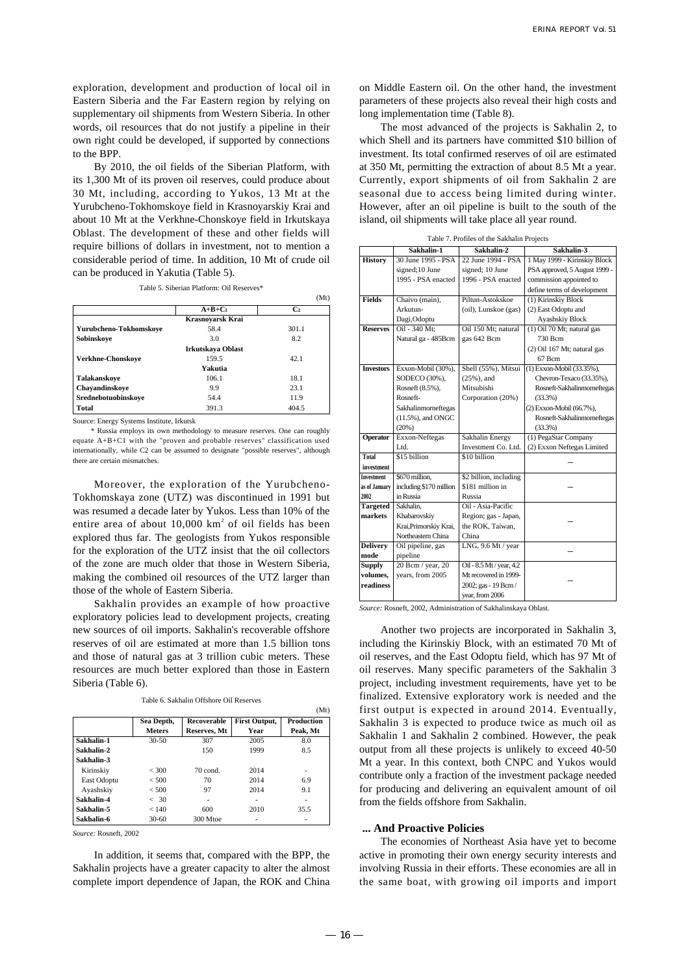exploration, development and production of local oil in Eastern Siberia and the Far Eastern region by relying on supplementary oil shipments from Western Siberia. In other words, oil resources that do not justify a pipeline in their own right could be developed, if supported by connections to the BPP.

By 2010, the oil fields of the Siberian Platform, with its 1,300 Mt of its proven oil reserves, could produce about 30 Mt, including, according to Yukos, 13 Mt at the Yurubcheno-Tokhomskoye field in Krasnoyarskiy Krai and about 10 Mt at the Verkhne-Chonskoye field in Irkutskaya Oblast. The development of these and other fields will require billions of dollars in investment, not to mention a considerable period of time. In addition, 10 Mt of crude oil can be produced in Yakutia (Table 5).

Table 5. Siberian Platform: Oil Reserves\*

|                        |                   | (Mt)           |
|------------------------|-------------------|----------------|
|                        | $A+B+C_1$         | C <sub>2</sub> |
|                        | Krasnoyarsk Krai  |                |
| Yurubcheno-Tokhomskove | 58.4              | 301.1          |
| Sobinskove             | 3.0               | 8.2            |
|                        | Irkutskava Oblast |                |
| Verkhne-Chonskove      | 159.5             | 42.1           |
|                        | <b>Yakutia</b>    |                |
| Talakanskoye           | 106.1             | 18.1           |
| Chayandinskoye         | 9.9               | 23.1           |
| Srednebotuobinskove    | 54.4              | 11.9           |
| <b>Total</b>           | 391.3             | 404.5          |

Source: Energy Systems Institute, Irkutsk

\* Russia employs its own methodology to measure reserves. One can roughly equate A+B+C1 with the "proven and probable reserves" classification used internationally, while C2 can be assumed to designate "possible reserves", although there are certain mismatches.

Moreover, the exploration of the Yurubcheno-Tokhomskaya zone (UTZ) was discontinued in 1991 but was resumed a decade later by Yukos. Less than 10% of the entire area of about  $10,000 \text{ km}^2$  of oil fields has been explored thus far. The geologists from Yukos responsible for the exploration of the UTZ insist that the oil collectors of the zone are much older that those in Western Siberia, making the combined oil resources of the UTZ larger than those of the whole of Eastern Siberia.

Sakhalin provides an example of how proactive exploratory policies lead to development projects, creating new sources of oil imports. Sakhalin's recoverable offshore reserves of oil are estimated at more than 1.5 billion tons and those of natural gas at 3 trillion cubic meters. These resources are much better explored than those in Eastern Siberia (Table 6).

|  |  |  |  | Table 6. Sakhalin Offshore Oil Reserves |
|--|--|--|--|-----------------------------------------|
|--|--|--|--|-----------------------------------------|

|             |               |              |                      | (Mt)       |
|-------------|---------------|--------------|----------------------|------------|
|             | Sea Depth,    | Recoverable  | <b>First Output,</b> | Production |
|             | <b>Meters</b> | Reserves, Mt | Year                 | Peak, Mt   |
| Sakhalin-1  | $30-50$       | 307          | 2005                 | 8.0        |
| Sakhalin-2  |               | 150          | 1999                 | 8.5        |
| Sakhalin-3  |               |              |                      |            |
| Kirinskiy   | < 300         | $70$ cond.   | 2014                 | ۰          |
| East Odoptu | < 500         | 70           | 2014                 | 6.9        |
| Ayashskiy   | $<$ 500       | 97           | 2014                 | 9.1        |
| Sakhalin-4  | < 30          |              |                      |            |
| Sakhalin-5  | < 140         | 600          | 2010                 | 35.5       |
| Sakhalin-6  | $30-60$       | 300 Mtoe     |                      |            |

*Source:* Rosneft, 2002

In addition, it seems that, compared with the BPP, the Sakhalin projects have a greater capacity to alter the almost complete import dependence of Japan, the ROK and China on Middle Eastern oil. On the other hand, the investment parameters of these projects also reveal their high costs and long implementation time (Table 8).

The most advanced of the projects is Sakhalin 2, to which Shell and its partners have committed \$10 billion of investment. Its total confirmed reserves of oil are estimated at 350 Mt, permitting the extraction of about 8.5 Mt a year. Currently, export shipments of oil from Sakhalin 2 are seasonal due to access being limited during winter. However, after an oil pipeline is built to the south of the island, oil shipments will take place all year round.

|                   | Lable 7. I formed of the Sakhami Frojects |                          |                               |  |  |  |
|-------------------|-------------------------------------------|--------------------------|-------------------------------|--|--|--|
|                   | Sakhalin-1                                | Sakhalin-2               | Sakhalin-3                    |  |  |  |
| <b>History</b>    | 30 June 1995 - PSA                        | 22 June 1994 - PSA       | 1 May 1999 - Kirinskiy Block  |  |  |  |
|                   | signed;10 June                            | signed; 10 June          | PSA approved, 5 August 1999 - |  |  |  |
|                   | 1995 - PSA enacted                        | 1996 - PSA enacted       | commission appointed to       |  |  |  |
|                   |                                           |                          | define terms of development   |  |  |  |
| <b>Fields</b>     | Chaivo (main),                            | Piltun-Astokskoe         | (1) Kirinskiy Block           |  |  |  |
|                   | Arkutun-                                  | (oil), Lunskoe (gas)     | (2) East Odoptu and           |  |  |  |
|                   | Dagi, Odoptu                              |                          | Ayashskiy Block               |  |  |  |
| <b>Reserves</b>   | Oil - 340 Mt;                             | Oil 150 Mt; natural      | $(1)$ Oil 70 Mt; natural gas  |  |  |  |
|                   | Natural ga - 485Bcm                       | gas 642 Bcm              | 730 Bcm                       |  |  |  |
|                   |                                           |                          | (2) Oil 167 Mt; natural gas   |  |  |  |
|                   |                                           |                          | 67 Bcm                        |  |  |  |
| <b>Investors</b>  | Exxon-Mobil (30%),                        | Shell (55%), Mitsui      | (1) Exxon-Mobil (33.35%),     |  |  |  |
|                   | SODECO (30%),                             | $(25%)$ , and            | Chevron-Texaco (33.35%),      |  |  |  |
|                   | Rosneft (8.5%),                           | Mitsubishi               | Rosneft-Sakhalinmorneftegas   |  |  |  |
|                   | Rosneft-                                  | Corporation (20%)        | (33.3%)                       |  |  |  |
|                   | Sakhalinmorneftegas                       |                          | (2) Exxon-Mobil (66.7%),      |  |  |  |
|                   | $(11.5\%)$ , and ONGC                     |                          | Rosneft-Sakhalinmorneftegas   |  |  |  |
|                   | (20%)                                     |                          | (33.3%)                       |  |  |  |
| <b>Operator</b>   | Exxon-Neftegas                            | <b>Sakhalin Energy</b>   | (1) PegaStar Company          |  |  |  |
|                   | Ltd.                                      | Investment Co. Ltd.      | (2) Exxon Neftegas Limited    |  |  |  |
| Total             | $$15$ billion                             | \$10 billion             |                               |  |  |  |
| investment        |                                           |                          |                               |  |  |  |
| <b>Investment</b> | \$670 million.                            | \$2 billion, including   |                               |  |  |  |
| as of January     | including \$170 million                   | \$181 million in         |                               |  |  |  |
| 2002              | in Russia                                 | Russia                   |                               |  |  |  |
| <b>Targeted</b>   | Sakhalin.                                 | Oil - Asia-Pacific       |                               |  |  |  |
| markets           | Khabarovskiy                              | Region; gas - Japan,     |                               |  |  |  |
|                   | Krai, Primorskiy Krai,                    | the ROK, Taiwan,         |                               |  |  |  |
|                   | Northeastern China                        | China                    |                               |  |  |  |
| <b>Delivery</b>   | Oil pipeline, gas                         | LNG, 9.6 Mt / year       |                               |  |  |  |
| mode              | pipeline                                  |                          |                               |  |  |  |
| <b>Supply</b>     | 20 Bcm / year, 20                         | Oil - 8.5 Mt / year, 4.2 |                               |  |  |  |
| volumes.          | years, from 2005                          | Mt recovered in 1999-    |                               |  |  |  |
| readiness         |                                           | 2002; gas - 19 Bcm /     |                               |  |  |  |
|                   |                                           | year, from 2006          |                               |  |  |  |
|                   |                                           |                          |                               |  |  |  |

Table 7. Profiles of the Sakhalin Projects

*Source:* Rosneft, 2002, Administration of Sakhalinskaya Oblast.

Another two projects are incorporated in Sakhalin 3, including the Kirinskiy Block, with an estimated 70 Mt of oil reserves, and the East Odoptu field, which has 97 Mt of oil reserves. Many specific parameters of the Sakhalin 3 project, including investment requirements, have yet to be finalized. Extensive exploratory work is needed and the first output is expected in around 2014. Eventually, Sakhalin 3 is expected to produce twice as much oil as Sakhalin 1 and Sakhalin 2 combined. However, the peak output from all these projects is unlikely to exceed 40-50 Mt a year. In this context, both CNPC and Yukos would contribute only a fraction of the investment package needed for producing and delivering an equivalent amount of oil from the fields offshore from Sakhalin.

#### **... And Proactive Policies**

The economies of Northeast Asia have yet to become active in promoting their own energy security interests and involving Russia in their efforts. These economies are all in the same boat, with growing oil imports and import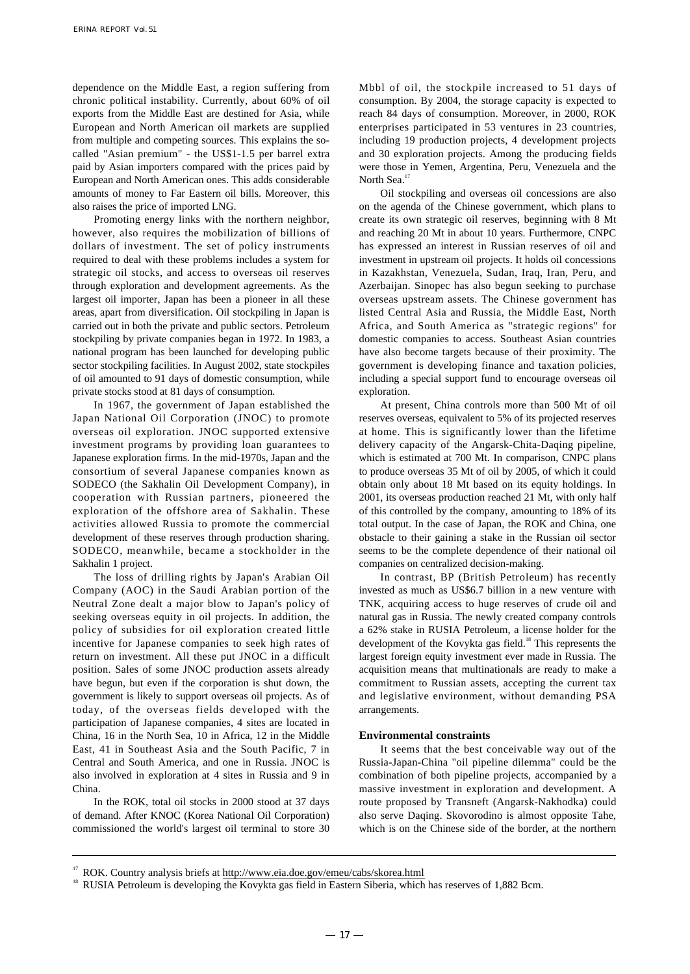dependence on the Middle East, a region suffering from chronic political instability. Currently, about 60% of oil exports from the Middle East are destined for Asia, while European and North American oil markets are supplied from multiple and competing sources. This explains the socalled "Asian premium" - the US\$1-1.5 per barrel extra paid by Asian importers compared with the prices paid by European and North American ones. This adds considerable amounts of money to Far Eastern oil bills. Moreover, this also raises the price of imported LNG.

Promoting energy links with the northern neighbor, however, also requires the mobilization of billions of dollars of investment. The set of policy instruments required to deal with these problems includes a system for strategic oil stocks, and access to overseas oil reserves through exploration and development agreements. As the largest oil importer, Japan has been a pioneer in all these areas, apart from diversification. Oil stockpiling in Japan is carried out in both the private and public sectors. Petroleum stockpiling by private companies began in 1972. In 1983, a national program has been launched for developing public sector stockpiling facilities. In August 2002, state stockpiles of oil amounted to 91 days of domestic consumption, while private stocks stood at 81 days of consumption.

In 1967, the government of Japan established the Japan National Oil Corporation (JNOC) to promote overseas oil exploration. JNOC supported extensive investment programs by providing loan guarantees to Japanese exploration firms. In the mid-1970s, Japan and the consortium of several Japanese companies known as SODECO (the Sakhalin Oil Development Company), in cooperation with Russian partners, pioneered the exploration of the offshore area of Sakhalin. These activities allowed Russia to promote the commercial development of these reserves through production sharing. SODECO, meanwhile, became a stockholder in the Sakhalin 1 project.

The loss of drilling rights by Japan's Arabian Oil Company (AOC) in the Saudi Arabian portion of the Neutral Zone dealt a major blow to Japan's policy of seeking overseas equity in oil projects. In addition, the policy of subsidies for oil exploration created little incentive for Japanese companies to seek high rates of return on investment. All these put JNOC in a difficult position. Sales of some JNOC production assets already have begun, but even if the corporation is shut down, the government is likely to support overseas oil projects. As of today, of the overseas fields developed with the participation of Japanese companies, 4 sites are located in China, 16 in the North Sea, 10 in Africa, 12 in the Middle East, 41 in Southeast Asia and the South Pacific, 7 in Central and South America, and one in Russia. JNOC is also involved in exploration at 4 sites in Russia and 9 in China.

In the ROK, total oil stocks in 2000 stood at 37 days of demand. After KNOC (Korea National Oil Corporation) commissioned the world's largest oil terminal to store 30 Mbbl of oil, the stockpile increased to 51 days of consumption. By 2004, the storage capacity is expected to reach 84 days of consumption. Moreover, in 2000, ROK enterprises participated in 53 ventures in 23 countries, including 19 production projects, 4 development projects and 30 exploration projects. Among the producing fields were those in Yemen, Argentina, Peru, Venezuela and the North Sea.<sup>17</sup>

Oil stockpiling and overseas oil concessions are also on the agenda of the Chinese government, which plans to create its own strategic oil reserves, beginning with 8 Mt and reaching 20 Mt in about 10 years. Furthermore, CNPC has expressed an interest in Russian reserves of oil and investment in upstream oil projects. It holds oil concessions in Kazakhstan, Venezuela, Sudan, Iraq, Iran, Peru, and Azerbaijan. Sinopec has also begun seeking to purchase overseas upstream assets. The Chinese government has listed Central Asia and Russia, the Middle East, North Africa, and South America as "strategic regions" for domestic companies to access. Southeast Asian countries have also become targets because of their proximity. The government is developing finance and taxation policies, including a special support fund to encourage overseas oil exploration.

At present, China controls more than 500 Mt of oil reserves overseas, equivalent to 5% of its projected reserves at home. This is significantly lower than the lifetime delivery capacity of the Angarsk-Chita-Daqing pipeline, which is estimated at 700 Mt. In comparison, CNPC plans to produce overseas 35 Mt of oil by 2005, of which it could obtain only about 18 Mt based on its equity holdings. In 2001, its overseas production reached 21 Mt, with only half of this controlled by the company, amounting to 18% of its total output. In the case of Japan, the ROK and China, one obstacle to their gaining a stake in the Russian oil sector seems to be the complete dependence of their national oil companies on centralized decision-making.

In contrast, BP (British Petroleum) has recently invested as much as US\$6.7 billion in a new venture with TNK, acquiring access to huge reserves of crude oil and natural gas in Russia. The newly created company controls a 62% stake in RUSIA Petroleum, a license holder for the development of the Kovykta gas field.<sup>18</sup> This represents the largest foreign equity investment ever made in Russia. The acquisition means that multinationals are ready to make a commitment to Russian assets, accepting the current tax and legislative environment, without demanding PSA arrangements.

#### **Environmental constraints**

It seems that the best conceivable way out of the Russia-Japan-China "oil pipeline dilemma" could be the combination of both pipeline projects, accompanied by a massive investment in exploration and development. A route proposed by Transneft (Angarsk-Nakhodka) could also serve Daqing. Skovorodino is almost opposite Tahe, which is on the Chinese side of the border, at the northern

<sup>&</sup>lt;sup>17</sup> ROK. Country analysis briefs at http://www.eia.doe.gov/emeu/cabs/skorea.html

<sup>&</sup>lt;sup>18</sup> RUSIA Petroleum is developing the Kovykta gas field in Eastern Siberia, which has reserves of 1,882 Bcm.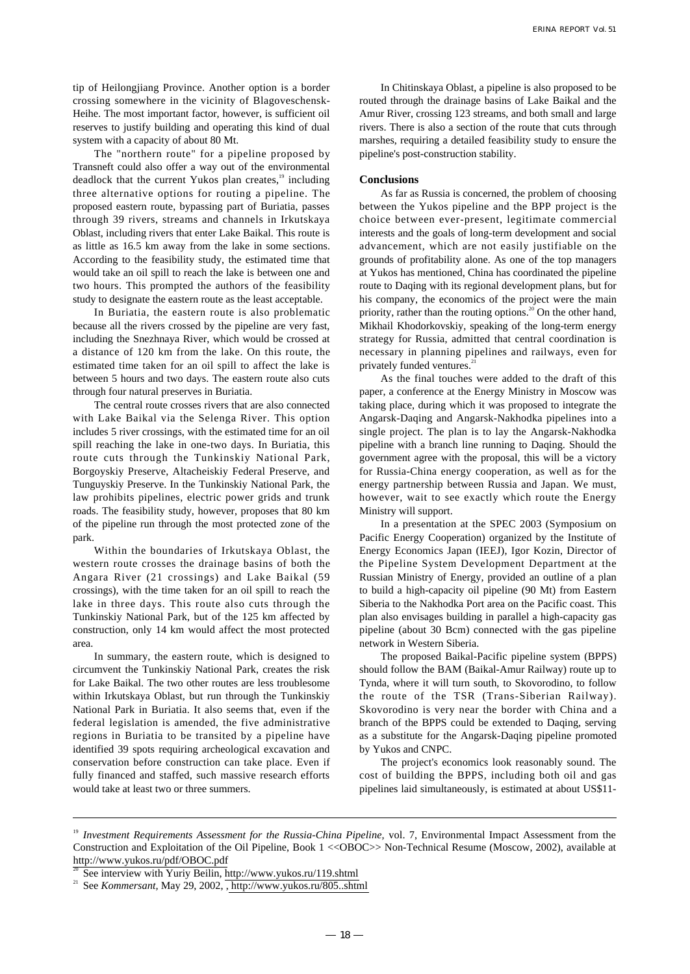tip of Heilongjiang Province. Another option is a border crossing somewhere in the vicinity of Blagoveschensk-Heihe. The most important factor, however, is sufficient oil reserves to justify building and operating this kind of dual system with a capacity of about 80 Mt.

The "northern route" for a pipeline proposed by Transneft could also offer a way out of the environmental deadlock that the current Yukos plan creates, $19$  including three alternative options for routing a pipeline. The proposed eastern route, bypassing part of Buriatia, passes through 39 rivers, streams and channels in Irkutskaya Oblast, including rivers that enter Lake Baikal. This route is as little as 16.5 km away from the lake in some sections. According to the feasibility study, the estimated time that would take an oil spill to reach the lake is between one and two hours. This prompted the authors of the feasibility study to designate the eastern route as the least acceptable.

In Buriatia, the eastern route is also problematic because all the rivers crossed by the pipeline are very fast, including the Snezhnaya River, which would be crossed at a distance of 120 km from the lake. On this route, the estimated time taken for an oil spill to affect the lake is between 5 hours and two days. The eastern route also cuts through four natural preserves in Buriatia.

The central route crosses rivers that are also connected with Lake Baikal via the Selenga River. This option includes 5 river crossings, with the estimated time for an oil spill reaching the lake in one-two days. In Buriatia, this route cuts through the Tunkinskiy National Park, Borgoyskiy Preserve, Altacheiskiy Federal Preserve, and Tunguyskiy Preserve. In the Tunkinskiy National Park, the law prohibits pipelines, electric power grids and trunk roads. The feasibility study, however, proposes that 80 km of the pipeline run through the most protected zone of the park.

Within the boundaries of Irkutskaya Oblast, the western route crosses the drainage basins of both the Angara River (21 crossings) and Lake Baikal (59 crossings), with the time taken for an oil spill to reach the lake in three days. This route also cuts through the Tunkinskiy National Park, but of the 125 km affected by construction, only 14 km would affect the most protected area.

In summary, the eastern route, which is designed to circumvent the Tunkinskiy National Park, creates the risk for Lake Baikal. The two other routes are less troublesome within Irkutskaya Oblast, but run through the Tunkinskiy National Park in Buriatia. It also seems that, even if the federal legislation is amended, the five administrative regions in Buriatia to be transited by a pipeline have identified 39 spots requiring archeological excavation and conservation before construction can take place. Even if fully financed and staffed, such massive research efforts would take at least two or three summers.

In Chitinskaya Oblast, a pipeline is also proposed to be routed through the drainage basins of Lake Baikal and the Amur River, crossing 123 streams, and both small and large rivers. There is also a section of the route that cuts through marshes, requiring a detailed feasibility study to ensure the pipeline's post-construction stability.

#### **Conclusions**

As far as Russia is concerned, the problem of choosing between the Yukos pipeline and the BPP project is the choice between ever-present, legitimate commercial interests and the goals of long-term development and social advancement, which are not easily justifiable on the grounds of profitability alone. As one of the top managers at Yukos has mentioned, China has coordinated the pipeline route to Daqing with its regional development plans, but for his company, the economics of the project were the main priority, rather than the routing options.<sup>20</sup> On the other hand, Mikhail Khodorkovskiy, speaking of the long-term energy strategy for Russia, admitted that central coordination is necessary in planning pipelines and railways, even for privately funded ventures.<sup>2</sup>

As the final touches were added to the draft of this paper, a conference at the Energy Ministry in Moscow was taking place, during which it was proposed to integrate the Angarsk-Daqing and Angarsk-Nakhodka pipelines into a single project. The plan is to lay the Angarsk-Nakhodka pipeline with a branch line running to Daqing. Should the government agree with the proposal, this will be a victory for Russia-China energy cooperation, as well as for the energy partnership between Russia and Japan. We must, however, wait to see exactly which route the Energy Ministry will support.

In a presentation at the SPEC 2003 (Symposium on Pacific Energy Cooperation) organized by the Institute of Energy Economics Japan (IEEJ), Igor Kozin, Director of the Pipeline System Development Department at the Russian Ministry of Energy, provided an outline of a plan to build a high-capacity oil pipeline (90 Mt) from Eastern Siberia to the Nakhodka Port area on the Pacific coast. This plan also envisages building in parallel a high-capacity gas pipeline (about 30 Bcm) connected with the gas pipeline network in Western Siberia.

The proposed Baikal-Pacific pipeline system (BPPS) should follow the BAM (Baikal-Amur Railway) route up to Tynda, where it will turn south, to Skovorodino, to follow the route of the TSR (Trans-Siberian Railway). Skovorodino is very near the border with China and a branch of the BPPS could be extended to Daqing, serving as a substitute for the Angarsk-Daqing pipeline promoted by Yukos and CNPC.

The project's economics look reasonably sound. The cost of building the BPPS, including both oil and gas pipelines laid simultaneously, is estimated at about US\$11-

<sup>&</sup>lt;sup>19</sup> Investment Requirements Assessment for the Russia-China Pipeline, vol. 7, Environmental Impact Assessment from the Construction and Exploitation of the Oil Pipeline, Book 1 <<OBOC>> Non-Technical Resume (Moscow, 2002), available at http://www.yukos.ru/pdf/OBOC.pdf

See interview with Yuriy Beilin, http://www.yukos.ru/119.shtml

<sup>21</sup> See *Kommersant,* May 29, 2002, , http://www.yukos.ru/805..shtml